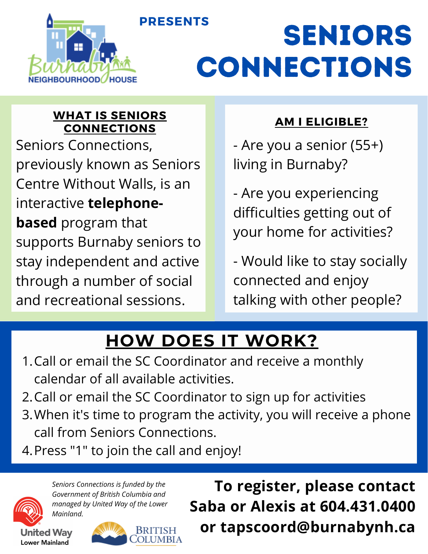



# Seniors **CONNECTIONS**

### **WHAT IS SENIORS CONNECTIONS**

Seniors Connections, previously known as Seniors Centre Without Walls, is an interactive **telephonebased** program that supports Burnaby seniors to stay independent and active through a number of social and recreational sessions.

### **AM I ELIGIBLE?**

- Are you a senior (55+) living in Burnaby?

- Are you experiencing difficulties getting out of your home for activities?

- Would like to stay socially connected and enjoy talking with other people?

# **HOW DOES IT WORK?**

- 1. Call or email the SC Coordinator and receive a monthly calendar of all available activities.
- 2. Call or email the SC Coordinator to sign up for activities
- When it's time to program the activity, you will receive a phone 3. call from Seniors Connections.
- 4. Press "1" to join the call and enjoy!



*Seniors Connections is funded by the Government of British Columbia and managed by United Way of the Lower Mainland.*

**United Way Lower Mainland** 



**To register, please contact Saba or Alexis at 604.431.0400 or tapscoord@burnabynh.ca**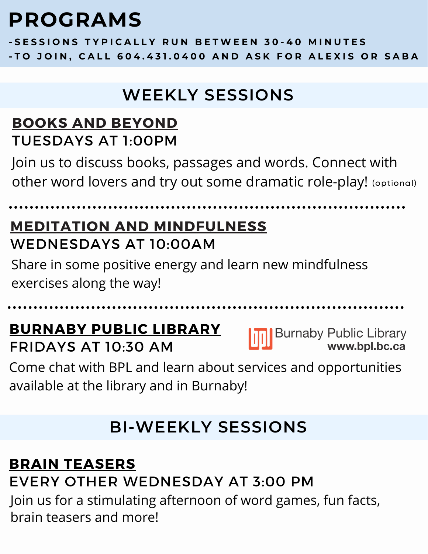# **PROGRAMS**

-SESSIONS TYPICALLY RUN BETWEEN 30-40 MINUTES -TO JOIN, CALL 604.431.0400 AND ASK FOR ALEXIS OR SABA

# **WEEKLY SESSIONS**

### **BOOKS AND BEYOND** TUESDAYS AT 1:00PM

Join us to discuss books, passages and words. Connect with other word lovers and try out some dramatic role-play! (optional)

### **MEDITATION AND MINDFULNESS** WEDNESDAYS AT 10:00AM

Share in some positive energy and learn new mindfulness exercises along the way!

# **BURNABY PUBLIC LIBRARY**

FRIDAYS AT 10:30 AM

Burnaby Public Library<br>www.bpl.bc.ca

Come chat with BPL and learn about services and opportunities available at the library and in Burnaby!

# **BI-WEEKLY SESSIONS**

### **BRAIN TEASERS** EVERY OTHER WEDNESDAY AT 3:00 PM Join us for a stimulating afternoon of word games, fun facts, brain teasers and more!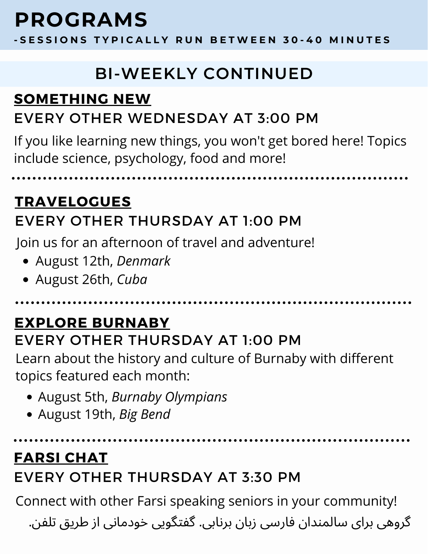# **PROGRAMS**

-SESSIONS TYPICALLY RUN BETWEEN 30-40 MINUTES

# **BI-WEEKLY CONTINUED**

### **SOMETHING NEW** EVERY OTHER WEDNESDAY AT 3:00 PM

If you like learning new things, you won't get bored here! Topics include science, psychology, food and more!

**TRAVELOGUES** EVERY OTHER THURSDAY AT 1:00 PM

Join us for an afternoon of travel and adventure!

- August 12th, *Denmark*
- August 26th, *Cuba*

# **EXPLORE BURNABY**

EVERY OTHER THURSDAY AT 1:00 PM

Learn about the history and culture of Burnaby with different topics featured each month:

- August 5th, *Burnaby Olympians*
- August 19th, *Big Bend*

### **FARSI CHAT**

### EVERY OTHER THURSDAY AT 3:30 PM

Connect with other Farsi speaking seniors in your community!

گروهی برای سالمندان فارسی زبان برنابی. گفتگویی خودمانی از طریق تلفن.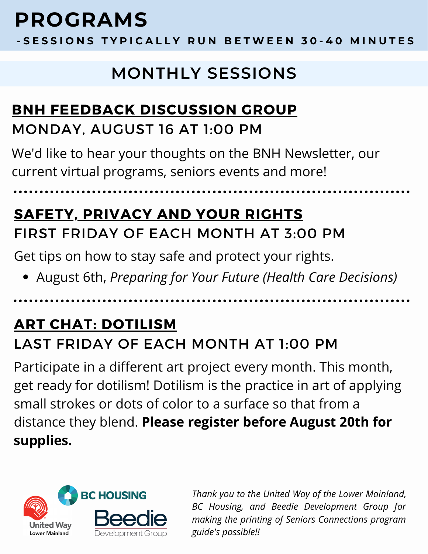# **PROGRAMS**

-SESSIONS TYPICALLY RUN BETWEEN 30-40 MINUTES

# **MONTHLY SESSIONS**

### **BNH FEEDBACK DISCUSSION GROUP**

### MONDAY, AUGUST 16 AT 1:00 PM

We'd like to hear your thoughts on the BNH Newsletter, our current virtual programs, seniors events and more!

# **SAFETY, PRIVACY AND YOUR RIGHTS** FIRST FRIDAY OF EACH MONTH AT 3:00 PM

Get tips on how to stay safe and protect your rights.

August 6th, *Preparing for Your Future (Health Care Decisions)*

### **ART CHAT: DOTILISM** LAST FRIDAY OF EACH MONTH AT 1:00 PM

Participate in a different art project every month. This month, get ready for dotilism! Dotilism is the practice in art of applying small strokes or dots of color to a surface so that from a distance they blend. **Please register before August 20th for supplies.**



*Thank you to the United Way of the Lower Mainland, BC Housing, and Beedie Development Group for making the printing of Seniors Connections program guide's possible!!*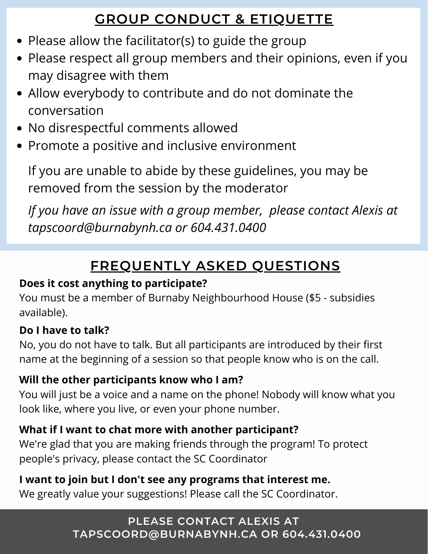### **GROUP CONDUCT & ETIQUETTE**

- Please allow the facilitator(s) to guide the group
- Please respect all group members and their opinions, even if you may disagree with them
- Allow everybody to contribute and do not dominate the conversation
- No disrespectful comments allowed
- Promote a positive and inclusive environment

If you are unable to abide by these guidelines, you may be removed from the session by the moderator

*If you have an issue with a group member, please contact Alexis at tapscoord@burnabynh.ca or 604.431.0400*

### **FREQUENTLY ASKED QUESTIONS**

### **Does it cost anything to participate?**

You must be a member of Burnaby Neighbourhood House (\$5 - subsidies available).

#### **Do I have to talk?**

No, you do not have to talk. But all participants are introduced by their first name at the beginning of a session so that people know who is on the call.

#### **Will the other participants know who I am?**

You will just be a voice and a name on the phone! Nobody will know what you look like, where you live, or even your phone number.

#### **What if I want to chat more with another participant?**

We're glad that you are making friends through the program! To protect people's privacy, please contact the SC Coordinator

#### **I want to join but I don't see any programs that interest me.**

We greatly value your suggestions! Please call the SC Coordinator.

#### **PLEASE CONTACT ALEXIS AT TAPSCOORD@BURNABYNH.CA OR 604.431.0400**